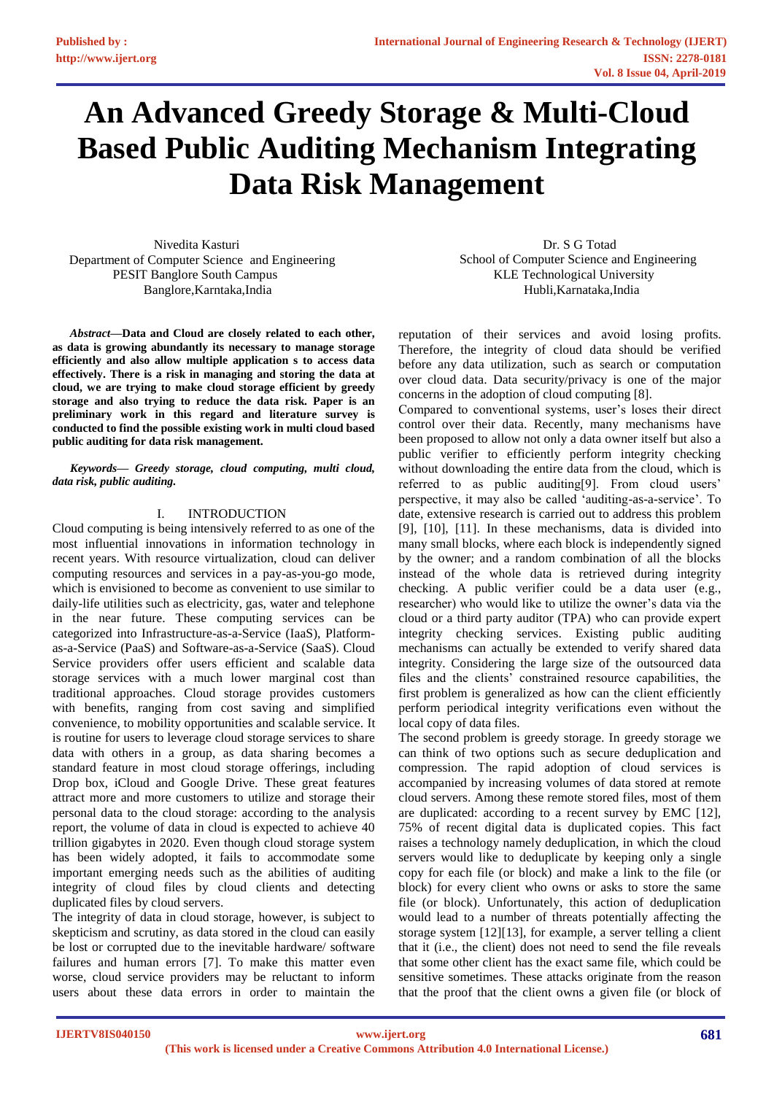# **An Advanced Greedy Storage & Multi-Cloud Based Public Auditing Mechanism Integrating Data Risk Management**

 Nivedita Kasturi Department of Computer Science and Engineering PESIT Banglore South Campus Banglore,Karntaka,India Hubli,Karnataka,India

*Abstract***—Data and Cloud are closely related to each other, as data is growing abundantly its necessary to manage storage efficiently and also allow multiple application s to access data effectively. There is a risk in managing and storing the data at cloud, we are trying to make cloud storage efficient by greedy storage and also trying to reduce the data risk. Paper is an preliminary work in this regard and literature survey is conducted to find the possible existing work in multi cloud based public auditing for data risk management.**

### *Keywords— Greedy storage, cloud computing, multi cloud, data risk, public auditing.*

# I. INTRODUCTION

Cloud computing is being intensively referred to as one of the most influential innovations in information technology in recent years. With resource virtualization, cloud can deliver computing resources and services in a pay-as-you-go mode, which is envisioned to become as convenient to use similar to daily-life utilities such as electricity, gas, water and telephone in the near future. These computing services can be categorized into Infrastructure-as-a-Service (IaaS), Platformas-a-Service (PaaS) and Software-as-a-Service (SaaS). Cloud Service providers offer users efficient and scalable data storage services with a much lower marginal cost than traditional approaches. Cloud storage provides customers with benefits, ranging from cost saving and simplified convenience, to mobility opportunities and scalable service. It is routine for users to leverage cloud storage services to share data with others in a group, as data sharing becomes a standard feature in most cloud storage offerings, including Drop box, iCloud and Google Drive. These great features attract more and more customers to utilize and storage their personal data to the cloud storage: according to the analysis report, the volume of data in cloud is expected to achieve 40 trillion gigabytes in 2020. Even though cloud storage system has been widely adopted, it fails to accommodate some important emerging needs such as the abilities of auditing integrity of cloud files by cloud clients and detecting duplicated files by cloud servers.

The integrity of data in cloud storage, however, is subject to skepticism and scrutiny, as data stored in the cloud can easily be lost or corrupted due to the inevitable hardware/ software failures and human errors [7]. To make this matter even worse, cloud service providers may be reluctant to inform users about these data errors in order to maintain the

 Dr. S G Totad School of Computer Science and Engineering KLE Technological University

reputation of their services and avoid losing profits. Therefore, the integrity of cloud data should be verified before any data utilization, such as search or computation over cloud data. Data security/privacy is one of the major concerns in the adoption of cloud computing [8].

Compared to conventional systems, user's loses their direct control over their data. Recently, many mechanisms have been proposed to allow not only a data owner itself but also a public verifier to efficiently perform integrity checking without downloading the entire data from the cloud, which is referred to as public auditing[9]. From cloud users' perspective, it may also be called 'auditing-as-a-service'. To date, extensive research is carried out to address this problem [9], [10], [11]. In these mechanisms, data is divided into many small blocks, where each block is independently signed by the owner; and a random combination of all the blocks instead of the whole data is retrieved during integrity checking. A public verifier could be a data user (e.g., researcher) who would like to utilize the owner's data via the cloud or a third party auditor (TPA) who can provide expert integrity checking services. Existing public auditing mechanisms can actually be extended to verify shared data integrity. Considering the large size of the outsourced data files and the clients' constrained resource capabilities, the first problem is generalized as how can the client efficiently perform periodical integrity verifications even without the local copy of data files.

The second problem is greedy storage. In greedy storage we can think of two options such as secure deduplication and compression. The rapid adoption of cloud services is accompanied by increasing volumes of data stored at remote cloud servers. Among these remote stored files, most of them are duplicated: according to a recent survey by EMC [12], 75% of recent digital data is duplicated copies. This fact raises a technology namely deduplication, in which the cloud servers would like to deduplicate by keeping only a single copy for each file (or block) and make a link to the file (or block) for every client who owns or asks to store the same file (or block). Unfortunately, this action of deduplication would lead to a number of threats potentially affecting the storage system [12][13], for example, a server telling a client that it (i.e., the client) does not need to send the file reveals that some other client has the exact same file, which could be sensitive sometimes. These attacks originate from the reason that the proof that the client owns a given file (or block of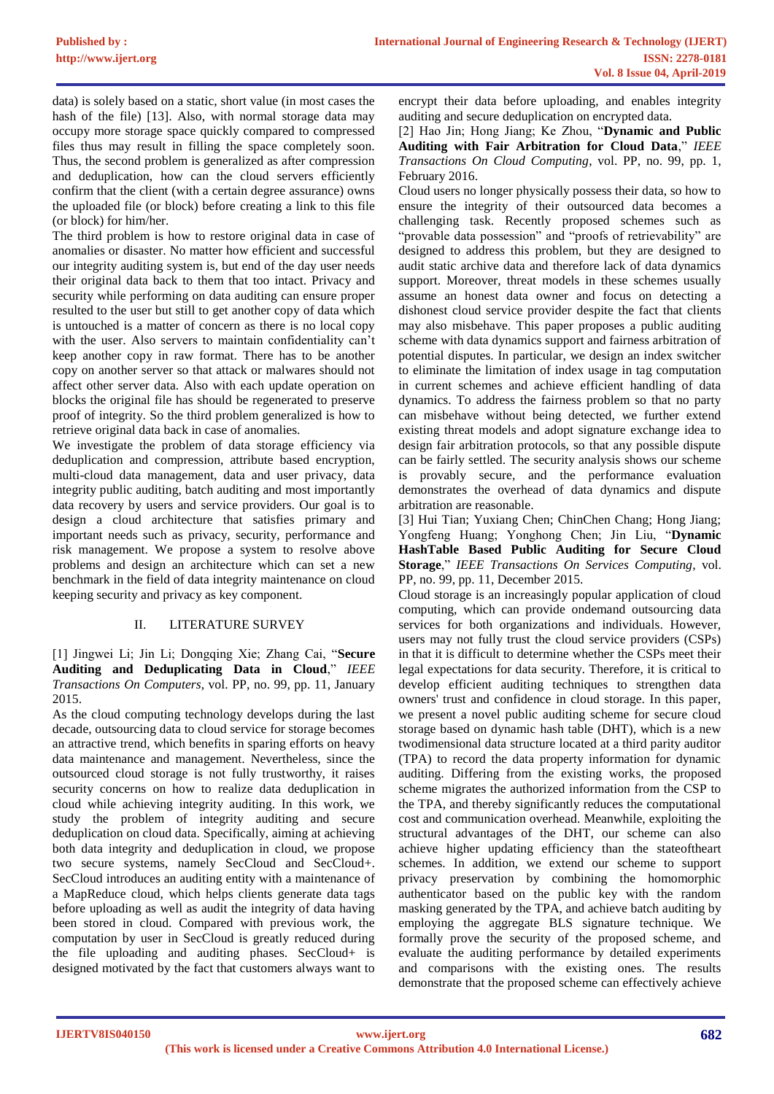data) is solely based on a static, short value (in most cases the hash of the file) [13]. Also, with normal storage data may occupy more storage space quickly compared to compressed files thus may result in filling the space completely soon. Thus, the second problem is generalized as after compression and deduplication, how can the cloud servers efficiently confirm that the client (with a certain degree assurance) owns the uploaded file (or block) before creating a link to this file (or block) for him/her.

The third problem is how to restore original data in case of anomalies or disaster. No matter how efficient and successful our integrity auditing system is, but end of the day user needs their original data back to them that too intact. Privacy and security while performing on data auditing can ensure proper resulted to the user but still to get another copy of data which is untouched is a matter of concern as there is no local copy with the user. Also servers to maintain confidentiality can't keep another copy in raw format. There has to be another copy on another server so that attack or malwares should not affect other server data. Also with each update operation on blocks the original file has should be regenerated to preserve proof of integrity. So the third problem generalized is how to retrieve original data back in case of anomalies.

We investigate the problem of data storage efficiency via deduplication and compression, attribute based encryption, multi-cloud data management, data and user privacy, data integrity public auditing, batch auditing and most importantly data recovery by users and service providers. Our goal is to design a cloud architecture that satisfies primary and important needs such as privacy, security, performance and risk management. We propose a system to resolve above problems and design an architecture which can set a new benchmark in the field of data integrity maintenance on cloud keeping security and privacy as key component.

# II. LITERATURE SURVEY

[1] Jingwei Li; Jin Li; Dongqing Xie; Zhang Cai, "**Secure Auditing and Deduplicating Data in Cloud**," *IEEE Transactions On Computers*, vol. PP, no. 99, pp. 11, January 2015.

As the cloud computing technology develops during the last decade, outsourcing data to cloud service for storage becomes an attractive trend, which benefits in sparing efforts on heavy data maintenance and management. Nevertheless, since the outsourced cloud storage is not fully trustworthy, it raises security concerns on how to realize data deduplication in cloud while achieving integrity auditing. In this work, we study the problem of integrity auditing and secure deduplication on cloud data. Specifically, aiming at achieving both data integrity and deduplication in cloud, we propose two secure systems, namely SecCloud and SecCloud+. SecCloud introduces an auditing entity with a maintenance of a MapReduce cloud, which helps clients generate data tags before uploading as well as audit the integrity of data having been stored in cloud. Compared with previous work, the computation by user in SecCloud is greatly reduced during the file uploading and auditing phases. SecCloud+ is designed motivated by the fact that customers always want to

encrypt their data before uploading, and enables integrity auditing and secure deduplication on encrypted data.

[2] Hao Jin; Hong Jiang; Ke Zhou, "**Dynamic and Public Auditing with Fair Arbitration for Cloud Data**," *IEEE Transactions On Cloud Computing*, vol. PP, no. 99, pp. 1, February 2016.

Cloud users no longer physically possess their data, so how to ensure the integrity of their outsourced data becomes a challenging task. Recently proposed schemes such as "provable data possession" and "proofs of retrievability" are designed to address this problem, but they are designed to audit static archive data and therefore lack of data dynamics support. Moreover, threat models in these schemes usually assume an honest data owner and focus on detecting a dishonest cloud service provider despite the fact that clients may also misbehave. This paper proposes a public auditing scheme with data dynamics support and fairness arbitration of potential disputes. In particular, we design an index switcher to eliminate the limitation of index usage in tag computation in current schemes and achieve efficient handling of data dynamics. To address the fairness problem so that no party can misbehave without being detected, we further extend existing threat models and adopt signature exchange idea to design fair arbitration protocols, so that any possible dispute can be fairly settled. The security analysis shows our scheme is provably secure, and the performance evaluation demonstrates the overhead of data dynamics and dispute arbitration are reasonable.

[3] Hui Tian; Yuxiang Chen; ChinChen Chang; Hong Jiang; Yongfeng Huang; Yonghong Chen; Jin Liu, "**Dynamic HashTable Based Public Auditing for Secure Cloud Storage**," *IEEE Transactions On Services Computing*, vol. PP, no. 99, pp. 11, December 2015.

Cloud storage is an increasingly popular application of cloud computing, which can provide ondemand outsourcing data services for both organizations and individuals. However, users may not fully trust the cloud service providers (CSPs) in that it is difficult to determine whether the CSPs meet their legal expectations for data security. Therefore, it is critical to develop efficient auditing techniques to strengthen data owners' trust and confidence in cloud storage. In this paper, we present a novel public auditing scheme for secure cloud storage based on dynamic hash table (DHT), which is a new twodimensional data structure located at a third parity auditor (TPA) to record the data property information for dynamic auditing. Differing from the existing works, the proposed scheme migrates the authorized information from the CSP to the TPA, and thereby significantly reduces the computational cost and communication overhead. Meanwhile, exploiting the structural advantages of the DHT, our scheme can also achieve higher updating efficiency than the stateoftheart schemes. In addition, we extend our scheme to support privacy preservation by combining the homomorphic authenticator based on the public key with the random masking generated by the TPA, and achieve batch auditing by employing the aggregate BLS signature technique. We formally prove the security of the proposed scheme, and evaluate the auditing performance by detailed experiments and comparisons with the existing ones. The results demonstrate that the proposed scheme can effectively achieve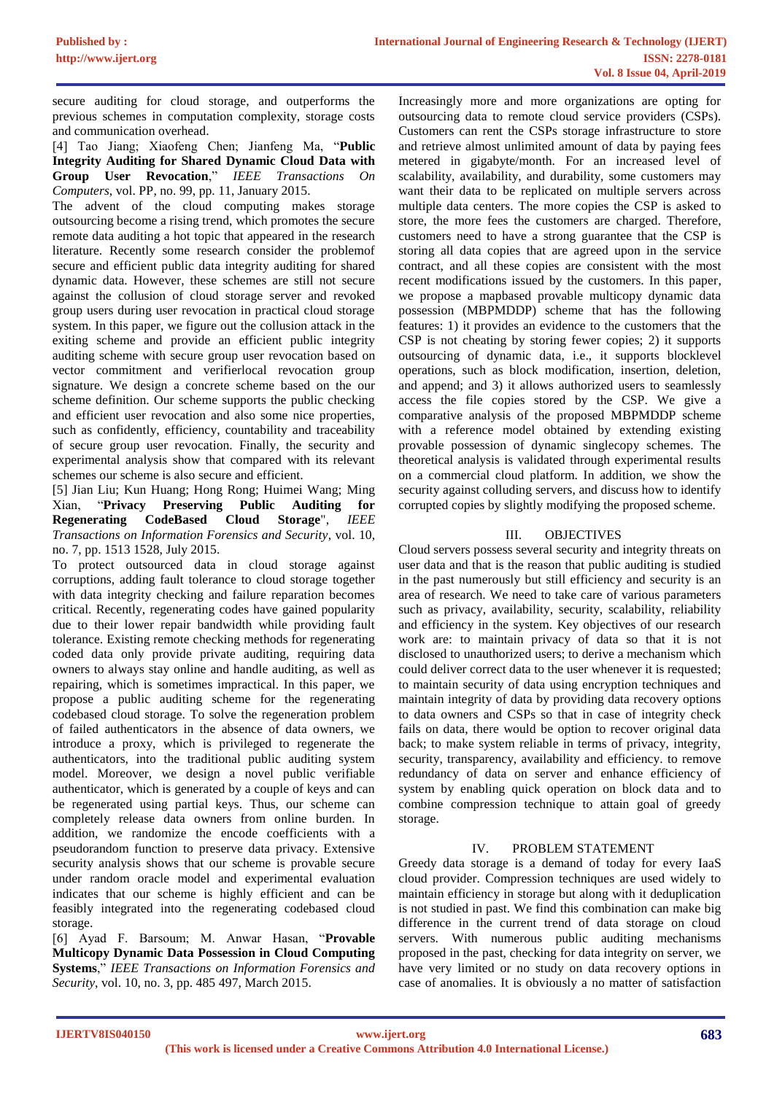secure auditing for cloud storage, and outperforms the previous schemes in computation complexity, storage costs and communication overhead.

[4] Tao Jiang; Xiaofeng Chen; Jianfeng Ma, "**Public Integrity Auditing for Shared Dynamic Cloud Data with Group User Revocation**," *IEEE Transactions On Computers*, vol. PP, no. 99, pp. 11, January 2015.

The advent of the cloud computing makes storage outsourcing become a rising trend, which promotes the secure remote data auditing a hot topic that appeared in the research literature. Recently some research consider the problemof secure and efficient public data integrity auditing for shared dynamic data. However, these schemes are still not secure against the collusion of cloud storage server and revoked group users during user revocation in practical cloud storage system. In this paper, we figure out the collusion attack in the exiting scheme and provide an efficient public integrity auditing scheme with secure group user revocation based on vector commitment and verifierlocal revocation group signature. We design a concrete scheme based on the our scheme definition. Our scheme supports the public checking and efficient user revocation and also some nice properties, such as confidently, efficiency, countability and traceability of secure group user revocation. Finally, the security and experimental analysis show that compared with its relevant schemes our scheme is also secure and efficient.

[5] Jian Liu; Kun Huang; Hong Rong; Huimei Wang; Ming Xian, "**Privacy Preserving Public Auditing for Regenerating CodeBased Cloud Storage**", *IEEE Transactions on Information Forensics and Security*, vol. 10, no. 7, pp. 1513 1528, July 2015.

To protect outsourced data in cloud storage against corruptions, adding fault tolerance to cloud storage together with data integrity checking and failure reparation becomes critical. Recently, regenerating codes have gained popularity due to their lower repair bandwidth while providing fault tolerance. Existing remote checking methods for regenerating coded data only provide private auditing, requiring data owners to always stay online and handle auditing, as well as repairing, which is sometimes impractical. In this paper, we propose a public auditing scheme for the regenerating codebased cloud storage. To solve the regeneration problem of failed authenticators in the absence of data owners, we introduce a proxy, which is privileged to regenerate the authenticators, into the traditional public auditing system model. Moreover, we design a novel public verifiable authenticator, which is generated by a couple of keys and can be regenerated using partial keys. Thus, our scheme can completely release data owners from online burden. In addition, we randomize the encode coefficients with a pseudorandom function to preserve data privacy. Extensive security analysis shows that our scheme is provable secure under random oracle model and experimental evaluation indicates that our scheme is highly efficient and can be feasibly integrated into the regenerating codebased cloud storage.

[6] Ayad F. Barsoum; M. Anwar Hasan, "**Provable Multicopy Dynamic Data Possession in Cloud Computing Systems**," *IEEE Transactions on Information Forensics and Security*, vol. 10, no. 3, pp. 485 497, March 2015.

Increasingly more and more organizations are opting for outsourcing data to remote cloud service providers (CSPs). Customers can rent the CSPs storage infrastructure to store and retrieve almost unlimited amount of data by paying fees metered in gigabyte/month. For an increased level of scalability, availability, and durability, some customers may want their data to be replicated on multiple servers across multiple data centers. The more copies the CSP is asked to store, the more fees the customers are charged. Therefore, customers need to have a strong guarantee that the CSP is storing all data copies that are agreed upon in the service contract, and all these copies are consistent with the most recent modifications issued by the customers. In this paper, we propose a mapbased provable multicopy dynamic data possession (MBPMDDP) scheme that has the following features: 1) it provides an evidence to the customers that the CSP is not cheating by storing fewer copies; 2) it supports outsourcing of dynamic data, i.e., it supports blocklevel operations, such as block modification, insertion, deletion, and append; and 3) it allows authorized users to seamlessly access the file copies stored by the CSP. We give a comparative analysis of the proposed MBPMDDP scheme with a reference model obtained by extending existing provable possession of dynamic singlecopy schemes. The theoretical analysis is validated through experimental results on a commercial cloud platform. In addition, we show the security against colluding servers, and discuss how to identify corrupted copies by slightly modifying the proposed scheme.

# III. OBJECTIVES

Cloud servers possess several security and integrity threats on user data and that is the reason that public auditing is studied in the past numerously but still efficiency and security is an area of research. We need to take care of various parameters such as privacy, availability, security, scalability, reliability and efficiency in the system. Key objectives of our research work are: to maintain privacy of data so that it is not disclosed to unauthorized users; to derive a mechanism which could deliver correct data to the user whenever it is requested; to maintain security of data using encryption techniques and maintain integrity of data by providing data recovery options to data owners and CSPs so that in case of integrity check fails on data, there would be option to recover original data back; to make system reliable in terms of privacy, integrity, security, transparency, availability and efficiency. to remove redundancy of data on server and enhance efficiency of system by enabling quick operation on block data and to combine compression technique to attain goal of greedy storage.

# IV. PROBLEM STATEMENT

Greedy data storage is a demand of today for every IaaS cloud provider. Compression techniques are used widely to maintain efficiency in storage but along with it deduplication is not studied in past. We find this combination can make big difference in the current trend of data storage on cloud servers. With numerous public auditing mechanisms proposed in the past, checking for data integrity on server, we have very limited or no study on data recovery options in case of anomalies. It is obviously a no matter of satisfaction